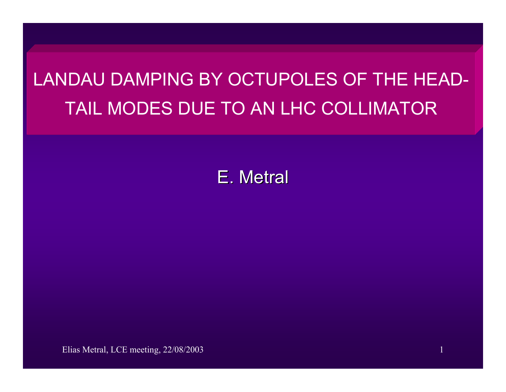# LANDAU DAMPING BY OCTUPOLES OF THE HEAD-TAIL MODES DUE TO AN LHC COLLIMATOR

E. Metral

Elias Metral, LCE meeting, 22/08/2003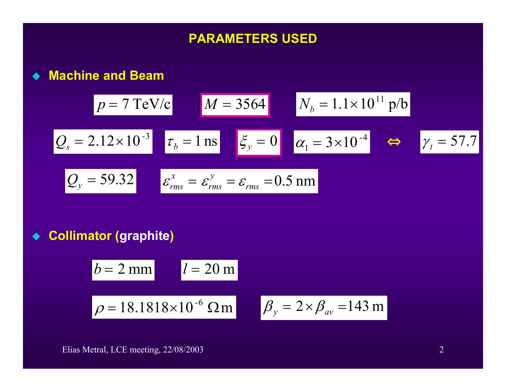# **PARAMETERS USED PARAMETERS USED**

**Machine and Beam**

$$
p = 7 \text{ TeV/c}
$$
\n
$$
M = 3564
$$
\n
$$
N_b = 1.1 \times 10^{11} \text{ p/b}
$$
\n
$$
Q_s = 2.12 \times 10^{-3}
$$
\n
$$
\tau_b = 1 \text{ ns}
$$
\n
$$
\zeta_y = 0
$$
\n
$$
\alpha_1 = 3 \times 10^{-4}
$$
\n
$$
\Leftrightarrow \gamma_t = 57.7
$$
\n
$$
Q_y = 59.32
$$
\n
$$
\varepsilon_{rms}^x = \varepsilon_{rms}^y = \varepsilon_{rms} = 0.5 \text{ nm}
$$

 $\blacklozenge$ **Collimator (graphite)**

$$
b = 2 \text{ mm}
$$
  

$$
l = 20 \text{ m}
$$
  

$$
\rho = 18.1818 \times 10^{-6} \text{ }\Omega \text{ m}
$$
  

$$
\beta_y = 2 \times \beta_{av} = 143 \text{ m}
$$

Elias Metral, LCE meeting, 22/08/2003 2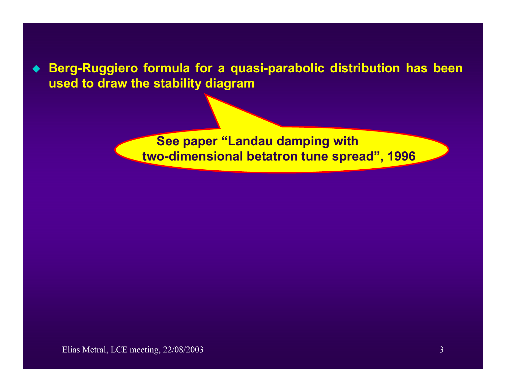**Berg-Ruggiero formula for a quasi-parabolic distribution has been used to draw the stability diagram**

> **See paper "Landau damping with two-dimensional betatron tune spread", 1996**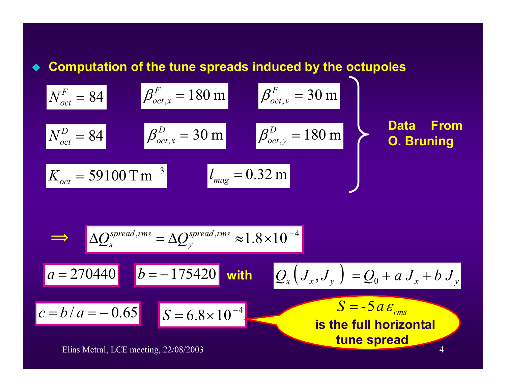### **Computation of the tune spreads induced by the octupoles**

$$
N_{oct}^{F} = 84
$$
  
\n
$$
N_{oct}^{D} = 84
$$
  
\n
$$
N_{oct}^{D} = 84
$$
  
\n
$$
\beta_{oct,x}^{D} = 30 \text{ m}
$$
  
\n
$$
\beta_{oct,y}^{D} = 30 \text{ m}
$$
  
\n
$$
\beta_{oct,y}^{D} = 180 \text{ m}
$$
  
\n
$$
\beta_{oct,y}^{D} = 180 \text{ m}
$$
  
\n
$$
N_{oct} = 59100 \text{ T m}^{-3}
$$
  
\n
$$
l_{mag} = 0.32 \text{ m}
$$
  
\n
$$
l_{mag} = 0.32 \text{ m}
$$
  
\nDatal From

$$
\frac{\Delta Q_x^{spread,rms} = \Delta Q_y^{spread,rms} \approx 1.8 \times 10^{-4}}{a = 270440 \left[ b = -175420 \text{ with } Q_x \left( J_x, J_y \right) = Q_0 + a J_x + b J_y \right]}
$$
  

$$
\frac{c = b/a = -0.65}{S = 6.8 \times 10^{-4}}
$$
  

$$
\frac{S = -5a \varepsilon_{rms}}{\text{is the full horizontal time spread}}
$$

Elias Metral, LCE meeting, 22/08/2003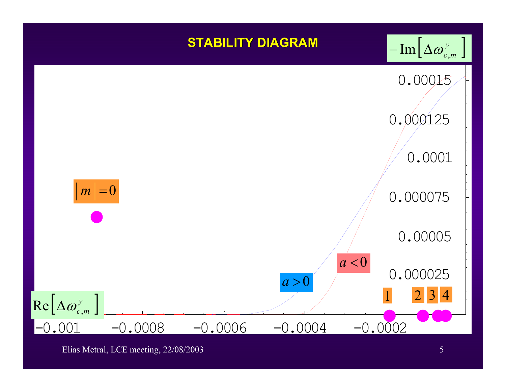

Elias Metral, LCE meeting, 22/08/2003 5